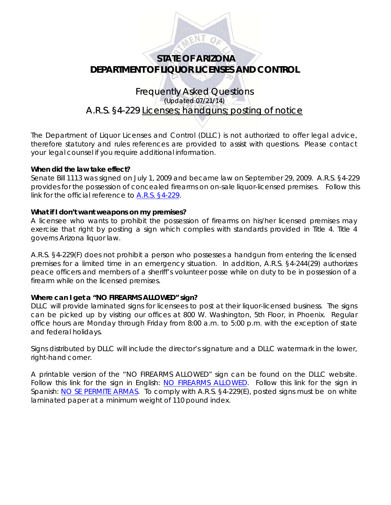

# **STATE OF ARIZONA DEPARTMENT OF LIQUOR LICENSES AND CONTROL**

## Frequently Asked Questions (Updated 07/21/14) A.R.S. §4-229 Licenses; handguns; posting of notice

The Department of Liquor Licenses and Control (DLLC) is not authorized to offer legal advice, therefore statutory and rules references are provided to assist with questions. Please contact your legal counsel if you require additional information.

## **When did the law take effect?**

Senate Bill 1113 was signed on July 1, 2009 and became law on September 29, 2009. A.R.S. §4-229 provides for the possession of concealed firearms on on-sale liquor-licensed premises. Follow this link for the official reference to [A.R.S. §4-229.](http://www.azleg.gov/FormatDocument.asp?inDoc=/ars/4/00229.htm&Title=4&DocType=ARS)

## **What if I don't want weapons on my premises?**

A licensee who wants to prohibit the possession of firearms on his/her licensed premises may exercise that right by posting a sign which complies with standards provided in Title 4. Title 4 governs Arizona liquor law.

A.R.S. §4-229(F) does not prohibit a person who possesses a handgun from entering the licensed premises for a limited time in an emergency situation. In addition, A.R.S. §4-244(29) authorizes peace officers and members of a sheriff's volunteer posse while on duty to be in possession of a firearm while on the licensed premises.

## **Where can I get a "NO FIREARMS ALLOWED" sign?**

DLLC will provide laminated signs for licensees to post at their liquor-licensed business. The signs can be picked up by visiting our offices at 800 W. Washington, 5th Floor, in Phoenix. Regular office hours are Monday through Friday from 8:00 a.m. to 5:00 p.m. with the exception of state and federal holidays.

Signs distributed by DLLC will include the director's signature and a DLLC watermark in the lower, right-hand corner.

A printable version of the "NO FIREARMS ALLOWED" sign can be found on the DLLC website. Follow this link for the sign in English: [NO FIREARMS ALLOWED](http://www.azliquor.gov/assets/documents/firearms/firearms_eng.pdf). Follow this link for the sign in Spanish: [NO SE PERMITE ARMAS.](http://www.azliquor.gov/assets/documents/firearms/firearms_span.pdf) To comply with A.R.S. §4-229(E), posted signs must be on white laminated paper at a minimum weight of 110 pound index.